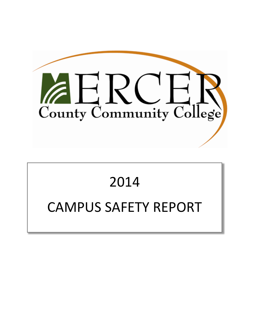

# 2014 CAMPUS SAFETY REPORT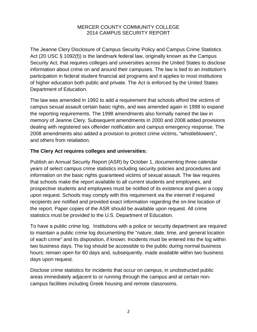The Jeanne Clery Disclosure of Campus Security Policy and Campus Crime Statistics Act (20 USC § 1092(f)) is the landmark federal law, originally known as the Campus Security Act, that requires colleges and universities across the United States to disclose information about crime on and around their campuses. The law is tied to an institution's participation in federal student financial aid programs and it applies to most institutions of higher education both public and private. The Act is enforced by the United States Department of Education.

The law was amended in 1992 to add a requirement that schools afford the victims of campus sexual assault certain basic rights, and was amended again in 1998 to expand the reporting requirements. The 1998 amendments also formally named the law in memory of Jeanne Clery. Subsequent amendments in 2000 and 2008 added provisions dealing with registered sex offender notification and campus emergency response. The 2008 amendments also added a provision to protect crime victims, "whistleblowers", and others from retaliation.

# **The Clery Act requires colleges and universities:**

Publish an Annual Security Report (ASR) by October 1, documenting three calendar years of select campus crime statistics including security policies and procedures and information on the basic rights guaranteed victims of sexual assault. The law requires that schools make the report available to all current students and employees, and prospective students and employees must be notified of its existence and given a copy upon request. Schools may comply with this requirement via the internet if required recipients are notified and provided exact information regarding the on‐line location of the report. Paper copies of the ASR should be available upon request. All crime statistics must be provided to the U.S. Department of Education.

To have a public crime log. Institutions with a police or security department are required to maintain a public crime log documenting the "nature, date, time, and general location of each crime" and its disposition, if known. Incidents must be entered into the log within two business days. The log should be accessible to the public during normal business hours; remain open for 60 days and, subsequently, made available within two business days upon request.

Disclose crime statistics for incidents that occur on campus, in unobstructed public areas immediately adjacent to or running through the campus and at certain non‐ campus facilities including Greek housing and remote classrooms.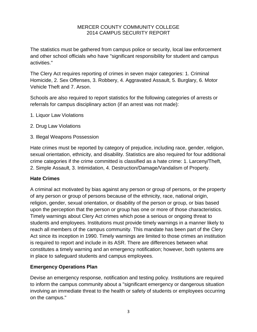The statistics must be gathered from campus police or security, local law enforcement and other school officials who have "significant responsibility for student and campus activities."

The Clery Act requires reporting of crimes in seven major categories: 1. Criminal Homicide, 2. Sex Offenses, 3. Robbery, 4. Aggravated Assault, 5. Burglary, 6. Motor Vehicle Theft and 7. Arson.

Schools are also required to report statistics for the following categories of arrests or referrals for campus disciplinary action (if an arrest was not made):

- 1. Liquor Law Violations
- 2. Drug Law Violations
- 3. Illegal Weapons Possession

Hate crimes must be reported by category of prejudice, including race, gender, religion, sexual orientation, ethnicity, and disability. Statistics are also required for four additional crime categories if the crime committed is classified as a hate crime: 1. Larceny/Theft, 2. Simple Assault, 3. Intimidation, 4. Destruction/Damage/Vandalism of Property.

## **Hate Crimes**

A criminal act motivated by bias against any person or group of persons, or the property of any person or group of persons because of the ethnicity, race, national origin, religion, gender, sexual orientation, or disability of the person or group, or bias based upon the perception that the person or group has one or more of those characteristics. Timely warnings about Clery Act crimes which pose a serious or ongoing threat to students and employees. Institutions must provide timely warnings in a manner likely to reach all members of the campus community. This mandate has been part of the Clery Act since its inception in 1990. Timely warnings are limited to those crimes an institution is required to report and include in its ASR. There are differences between what constitutes a timely warning and an emergency notification; however, both systems are in place to safeguard students and campus employees.

#### **Emergency Operations Plan**

Devise an emergency response, notification and testing policy. Institutions are required to inform the campus community about a "significant emergency or dangerous situation involving an immediate threat to the health or safety of students or employees occurring on the campus."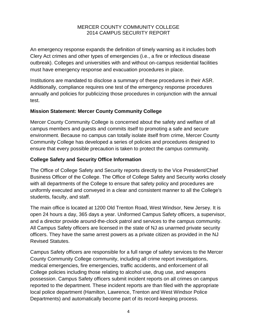An emergency response expands the definition of timely warning as it includes both Clery Act crimes and other types of emergencies (i.e., a fire or infectious disease outbreak). Colleges and universities with and without on‐campus residential facilities must have emergency response and evacuation procedures in place.

Institutions are mandated to disclose a summary of these procedures in their ASR. Additionally, compliance requires one test of the emergency response procedures annually and policies for publicizing those procedures in conjunction with the annual test.

#### **Mission Statement: Mercer County Community College**

Mercer County Community College is concerned about the safety and welfare of all campus members and guests and commits itself to promoting a safe and secure environment. Because no campus can totally isolate itself from crime, Mercer County Community College has developed a series of policies and procedures designed to ensure that every possible precaution is taken to protect the campus community.

## **College Safety and Security Office Information**

The Office of College Safety and Security reports directly to the Vice President/Chief Business Officer of the College. The Office of College Safety and Security works closely with all departments of the College to ensure that safety policy and procedures are uniformly executed and conveyed in a clear and consistent manner to all the College's students, faculty, and staff.

The main office is located at 1200 Old Trenton Road, West Windsor, New Jersey. It is open 24 hours a day, 365 days a year. Uniformed Campus Safety officers, a supervisor, and a director provide around‐the‐clock patrol and services to the campus community. All Campus Safety officers are licensed in the state of NJ as unarmed private security officers. They have the same arrest powers as a private citizen as provided in the NJ Revised Statutes.

Campus Safety officers are responsible for a full range of safety services to the Mercer County Community College community, including all crime report investigations, medical emergencies, fire emergencies, traffic accidents, and enforcement of all College policies including those relating to alcohol use, drug use, and weapons possession. Campus Safety officers submit incident reports on all crimes on campus reported to the department. These incident reports are than filed with the appropriate local police department (Hamilton, Lawrence, Trenton and West Windsor Police Departments) and automatically become part of its record‐keeping process.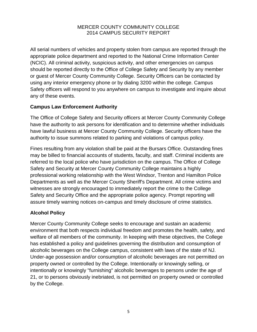All serial numbers of vehicles and property stolen from campus are reported through the appropriate police department and reported to the National Crime Information Center (NCIC). All criminal activity, suspicious activity, and other emergencies on campus should be reported directly to the Office of College Safety and Security by any member or guest of Mercer County Community College. Security Officers can be contacted by using any interior emergency phone or by dialing 3200 within the college. Campus Safety officers will respond to you anywhere on campus to investigate and inquire about any of these events.

## **Campus Law Enforcement Authority**

The Office of College Safety and Security officers at Mercer County Community College have the authority to ask persons for identification and to determine whether individuals have lawful business at Mercer County Community College. Security officers have the authority to issue summons related to parking and violations of campus policy.

Fines resulting from any violation shall be paid at the Bursars Office. Outstanding fines may be billed to financial accounts of students, faculty, and staff. Criminal incidents are referred to the local police who have jurisdiction on the campus. The Office of College Safety and Security at Mercer County Community College maintains a highly professional working relationship with the West Windsor, Trenton and Hamilton Police Departments as well as the Mercer County Sheriff's Department. All crime victims and witnesses are strongly encouraged to immediately report the crime to the College Safety and Security Office and the appropriate police agency. Prompt reporting will assure timely warning notices on‐campus and timely disclosure of crime statistics.

# **Alcohol Policy**

Mercer County Community College seeks to encourage and sustain an academic environment that both respects individual freedom and promotes the health, safety, and welfare of all members of the community. In keeping with these objectives, the College has established a policy and guidelines governing the distribution and consumption of alcoholic beverages on the College campus, consistent with laws of the state of NJ. Under‐age possession and/or consumption of alcoholic beverages are not permitted on property owned or controlled by the College. Intentionally or knowingly selling, or intentionally or knowingly "furnishing" alcoholic beverages to persons under the age of 21, or to persons obviously inebriated, is not permitted on property owned or controlled by the College.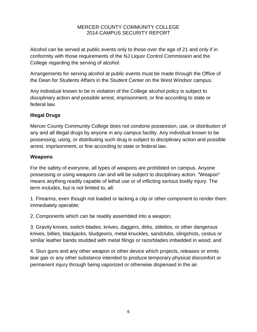Alcohol can be served at public events only to those over the age of 21 and only if in conformity with those requirements of the NJ Liquor Control Commission and the College regarding the serving of alcohol.

Arrangements for serving alcohol at public events must be made through the Office of the Dean for Students Affairs in the Student Center on the West Windsor campus.

Any individual known to be in violation of the College alcohol policy is subject to disciplinary action and possible arrest, imprisonment, or fine according to state or federal law.

# **Illegal Drugs**

Mercer County Community College does not condone possession, use, or distribution of any and all illegal drugs by anyone in any campus facility. Any individual known to be possessing, using, or distributing such drug is subject to disciplinary action and possible arrest, imprisonment, or fine according to state or federal law.

## **Weapons**

For the safety of everyone, all types of weapons are prohibited on campus. Anyone possessing or using weapons can and will be subject to disciplinary action. "Weapon" means anything readily capable of lethal use or of inflicting serious bodily injury. The term includes, but is not limited to, all:

1. Firearms, even though not loaded or lacking a clip or other component to render them immediately operable;

2. Components which can be readily assembled into a weapon;

3. Gravity knives, switch‐blades, knives, daggers, dirks, stilettos, or other dangerous knives, billies, blackjacks, bludgeons, metal knuckles, sandclubs, slingshots, cestus or similar leather bands studded with metal filings or razorblades imbedded in wood; and

4. Stun guns and any other weapon or other device which projects, releases or emits tear gas or any other substance intended to produce temporary physical discomfort or permanent injury through being vaporized or otherwise dispensed in the air.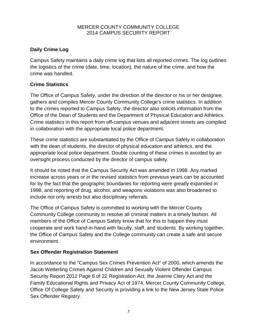# **Daily Crime Log**

Campus Safety maintains a daily crime log that lists all reported crimes. The log outlines the logistics of the crime (date, time, location), the nature of the crime, and how the crime was handled.

# **Crime Statistics**

The Office of Campus Safety, under the direction of the director or his or her designee, gathers and compiles Mercer County Community College's crime statistics. In addition to the crimes reported to Campus Safety, the director also solicits information from the Office of the Dean of Students and the Department of Physical Education and Athletics. Crime statistics in this report from off‐campus venues and adjacent streets are compiled in collaboration with the appropriate local police department.

These crime statistics are substantiated by the Office of Campus Safety in collaboration with the dean of students, the director of physical education and athletics, and the appropriate local police department. Double counting of these crimes is avoided by an oversight process conducted by the director of campus safety.

It should be noted that the Campus Security Act was amended in 1998. Any marked increase across years or in the revised statistics from previous years can be accounted for by the fact that the geographic boundaries for reporting were greatly expanded in 1998, and reporting of drug, alcohol, and weapons violations was also broadened to include not only arrests but also disciplinary referrals.

The Office of Campus Safety is committed to working with the Mercer County Community College community to resolve all criminal matters in a timely fashion. All members of the Office of Campus Safety know that for this to happen they must cooperate and work hand‐in‐hand with faculty, staff, and students. By working together, the Office of Campus Safety and the College community can create a safe and secure environment.

# **Sex Offender Registration Statement**

In accordance to the "Campus Sex Crimes Prevention Act" of 2000, which amends the Jacob Wetterling Crimes Against Children and Sexually Violent Offender Campus Security Report 2012 Page 6 of 22 Registration Act, the Jeanne Clery Act and the Family Educational Rights and Privacy Act of 1974, Mercer County Community College, Office Of College Safety and Security is providing a link to the New Jersey State Police Sex Offender Registry.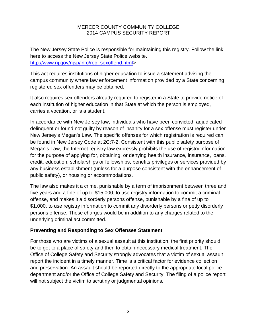The New Jersey State Police is responsible for maintaining this registry. Follow the link here to access the New Jersey State Police website. [http://www.nj.gov/njsp/info/reg\\_sexoffend.html>](http://www.nj.gov/njsp/info/reg_sexoffend.html)

This act requires institutions of higher education to issue a statement advising the campus community where law enforcement information provided by a State concerning registered sex offenders may be obtained.

It also requires sex offenders already required to register in a State to provide notice of each institution of higher education in that State at which the person is employed, carries a vocation, or is a student.

In accordance with New Jersey law, individuals who have been convicted, adjudicated delinquent or found not guilty by reason of insanity for a sex offense must register under New Jersey's Megan's Law. The specific offenses for which registration is required can be found in New Jersey Code at 2C:7‐2. Consistent with this public safety purpose of Megan's Law, the Internet registry law expressly prohibits the use of registry information for the purpose of applying for, obtaining, or denying health insurance, insurance, loans, credit, education, scholarships or fellowships, benefits privileges or services provided by any business establishment (unless for a purpose consistent with the enhancement of public safety), or housing or accommodations.

The law also makes it a crime, punishable by a term of imprisonment between three and five years and a fine of up to \$15,000, to use registry information to commit a criminal offense, and makes it a disorderly persons offense, punishable by a fine of up to \$1,000, to use registry information to commit any disorderly persons or petty disorderly persons offense. These charges would be in addition to any charges related to the underlying criminal act committed.

## **Preventing and Responding to Sex Offenses Statement**

For those who are victims of a sexual assault at this institution, the first priority should be to get to a place of safety and then to obtain necessary medical treatment. The Office of College Safety and Security strongly advocates that a victim of sexual assault report the incident in a timely manner. Time is a critical factor for evidence collection and preservation. An assault should be reported directly to the appropriate local police department and/or the Office of College Safety and Security. The filing of a police report will not subject the victim to scrutiny or judgmental opinions.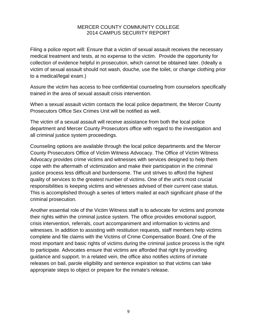Filing a police report will: Ensure that a victim of sexual assault receives the necessary medical treatment and tests, at no expense to the victim. Provide the opportunity for collection of evidence helpful in prosecution, which cannot be obtained later. (Ideally a victim of sexual assault should not wash, douche, use the toilet, or change clothing prior to a medical/legal exam.)

Assure the victim has access to free confidential counseling from counselors specifically trained in the area of sexual assault crisis intervention.

When a sexual assault victim contacts the local police department, the Mercer County Prosecutors Office Sex Crimes Unit will be notified as well.

The victim of a sexual assault will receive assistance from both the local police department and Mercer County Prosecutors office with regard to the investigation and all criminal justice system proceedings.

Counseling options are available through the local police departments and the Mercer County Prosecutors Office of Victim Witness Advocacy. The Office of Victim Witness Advocacy provides crime victims and witnesses with services designed to help them cope with the aftermath of victimization and make their participation in the criminal justice process less difficult and burdensome. The unit strives to afford the highest quality of services to the greatest number of victims. One of the unit's most crucial responsibilities is keeping victims and witnesses advised of their current case status. This is accomplished through a series of letters mailed at each significant phase of the criminal prosecution.

Another essential role of the Victim Witness staff is to advocate for victims and promote their rights within the criminal justice system. The office provides emotional support, crisis intervention, referrals, court accompaniment and information to victims and witnesses. In addition to assisting with restitution requests, staff members help victims complete and file claims with the Victims of Crime Compensation Board. One of the most important and basic rights of victims during the criminal justice process is the right to participate. Advocates ensure that victims are afforded that right by providing guidance and support. In a related vein, the office also notifies victims of inmate releases on bail, parole eligibility and sentence expiration so that victims can take appropriate steps to object or prepare for the inmate's release.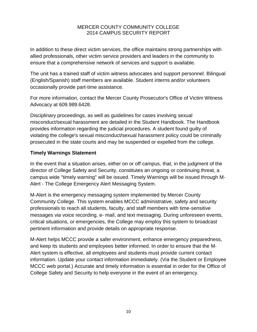In addition to these direct victim services, the office maintains strong partnerships with allied professionals, other victim service providers and leaders in the community to ensure that a comprehensive network of services and support is available.

The unit has a trained staff of victim witness advocates and support personnel. Bilingual (English/Spanish) staff members are available. Student interns and/or volunteers occasionally provide part‐time assistance.

For more information, contact the Mercer County Prosecutor's Office of Victim Witness Advocacy at 609.989.6428.

Disciplinary proceedings, as well as guidelines for cases involving sexual misconduct/sexual harassment are detailed in the Student Handbook. The Handbook provides information regarding the judicial procedures. A student found guilty of violating the college's sexual misconduct/sexual harassment policy could be criminally prosecuted in the state courts and may be suspended or expelled from the college.

## **Timely Warnings Statement**

In the event that a situation arises, either on or off campus, that, in the judgment of the director of College Safety and Security, constitutes an ongoing or continuing threat, a campus wide "timely warning" will be issued. Timely Warnings will be issued through M‐ Alert ‐ The College Emergency Alert Messaging System.

M‐Alert is the emergency messaging system implemented by Mercer County Community College. This system enables MCCC administrative, safety and security professionals to reach all students, faculty, and staff members with time‐sensitive messages via voice recording, e‐ mail, and text messaging. During unforeseen events, critical situations, or emergencies, the College may employ this system to broadcast pertinent information and provide details on appropriate response.

M‐Alert helps MCCC provide a safer environment, enhance emergency preparedness, and keep its students and employees better informed. In order to ensure that the M‐ Alert system is effective, all employees and students must provide current contact information. Update your contact information immediately. (Via the Student or Employee MCCC web portal.) Accurate and timely information is essential in order for the Office of College Safety and Security to help everyone in the event of an emergency.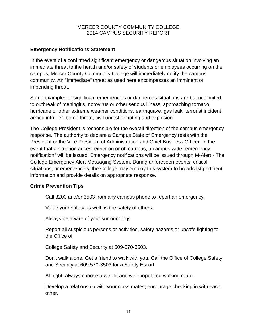# **Emergency Notifications Statement**

In the event of a confirmed significant emergency or dangerous situation involving an immediate threat to the health and/or safety of students or employees occurring on the campus, Mercer County Community College will immediately notify the campus community. An "immediate" threat as used here encompasses an imminent or impending threat.

Some examples of significant emergencies or dangerous situations are but not limited to outbreak of meningitis, norovirus or other serious illness, approaching tornado, hurricane or other extreme weather conditions, earthquake, gas leak, terrorist incident, armed intruder, bomb threat, civil unrest or rioting and explosion.

The College President is responsible for the overall direction of the campus emergency response. The authority to declare a Campus State of Emergency rests with the President or the Vice President of Administration and Chief Business Officer. In the event that a situation arises, either on or off campus, a campus wide "emergency notification" will be issued. Emergency notifications will be issued through M‐Alert ‐ The College Emergency Alert Messaging System. During unforeseen events, critical situations, or emergencies, the College may employ this system to broadcast pertinent information and provide details on appropriate response.

## **Crime Prevention Tips**

Call 3200 and/or 3503 from any campus phone to report an emergency.

Value your safety as well as the safety of others.

Always be aware of your surroundings.

Report all suspicious persons or activities, safety hazards or unsafe lighting to the Office of

College Safety and Security at 609-570‐3503.

Don't walk alone. Get a friend to walk with you. Call the Office of College Safety and Security at 609.570‐3503 for a Safety Escort.

At night, always choose a well‐lit and well‐populated walking route.

Develop a relationship with your class mates; encourage checking in with each other.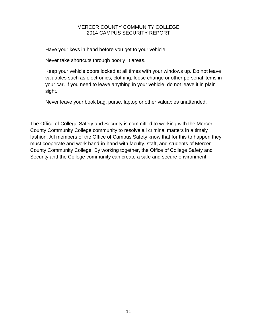Have your keys in hand before you get to your vehicle.

Never take shortcuts through poorly lit areas.

Keep your vehicle doors locked at all times with your windows up. Do not leave valuables such as electronics, clothing, loose change or other personal items in your car. If you need to leave anything in your vehicle, do not leave it in plain sight.

Never leave your book bag, purse, laptop or other valuables unattended.

The Office of College Safety and Security is committed to working with the Mercer County Community College community to resolve all criminal matters in a timely fashion. All members of the Office of Campus Safety know that for this to happen they must cooperate and work hand-in-hand with faculty, staff, and students of Mercer County Community College. By working together, the Office of College Safety and Security and the College community can create a safe and secure environment.